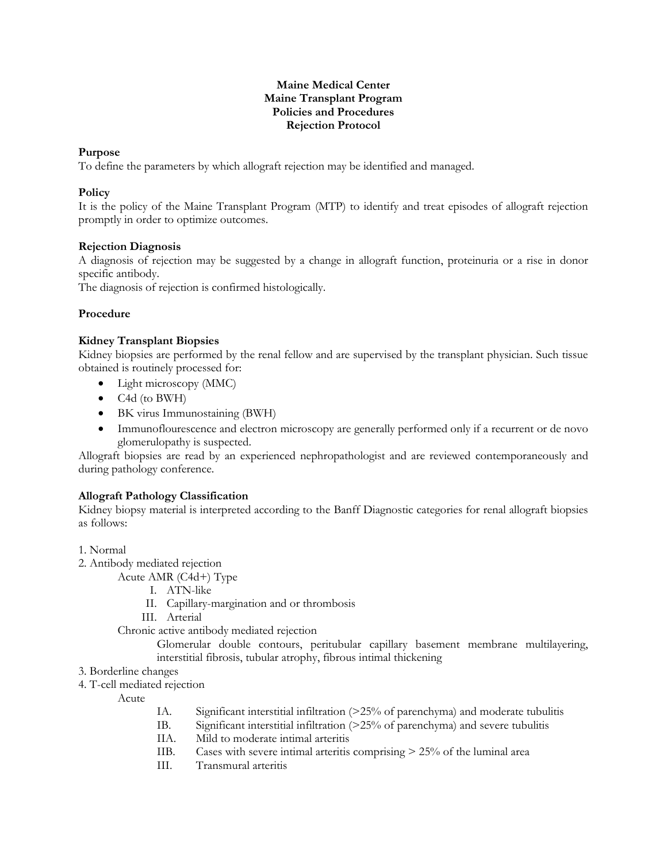#### **Maine Medical Center Maine Transplant Program Policies and Procedures Rejection Protocol**

## **Purpose**

To define the parameters by which allograft rejection may be identified and managed.

## **Policy**

It is the policy of the Maine Transplant Program (MTP) to identify and treat episodes of allograft rejection promptly in order to optimize outcomes.

### **Rejection Diagnosis**

A diagnosis of rejection may be suggested by a change in allograft function, proteinuria or a rise in donor specific antibody.

The diagnosis of rejection is confirmed histologically.

# **Procedure**

## **Kidney Transplant Biopsies**

Kidney biopsies are performed by the renal fellow and are supervised by the transplant physician. Such tissue obtained is routinely processed for:

- Light microscopy (MMC)
- C4d (to BWH)
- BK virus Immunostaining (BWH)
- Immunoflourescence and electron microscopy are generally performed only if a recurrent or de novo glomerulopathy is suspected.

Allograft biopsies are read by an experienced nephropathologist and are reviewed contemporaneously and during pathology conference.

# **Allograft Pathology Classification**

Kidney biopsy material is interpreted according to the Banff Diagnostic categories for renal allograft biopsies as follows:

- 1. Normal
- 2. Antibody mediated rejection

Acute AMR (C4d+) Type

- I. ATN-like
- II. Capillary-margination and or thrombosis
- III. Arterial
- Chronic active antibody mediated rejection

Glomerular double contours, peritubular capillary basement membrane multilayering, interstitial fibrosis, tubular atrophy, fibrous intimal thickening

- 3. Borderline changes
- 4. T-cell mediated rejection

Acute

- IA. Significant interstitial infiltration (>25% of parenchyma) and moderate tubulitis
- IB. Significant interstitial infiltration (>25% of parenchyma) and severe tubulitis
- IIA. Mild to moderate intimal arteritis
- IIB. Cases with severe intimal arteritis comprising > 25% of the luminal area
- III. Transmural arteritis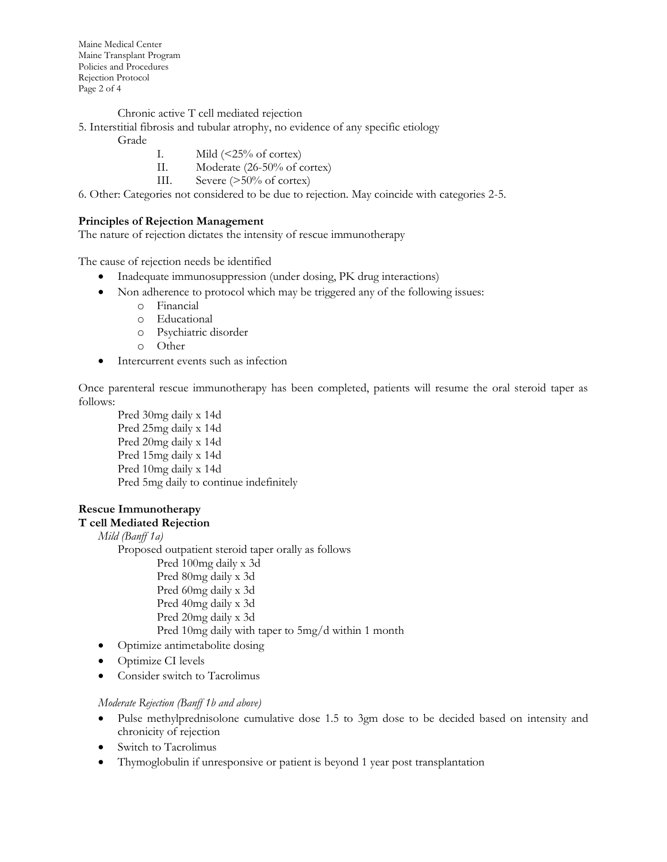Maine Medical Center Maine Transplant Program Policies and Procedures Rejection Protocol Page 2 of 4

Chronic active T cell mediated rejection

- 5. Interstitial fibrosis and tubular atrophy, no evidence of any specific etiology
	- Grade
- I. Mild  $\left( \langle 25\% \text{ of cortex} \rangle \right)$
- II. Moderate (26-50% of cortex)
- III. Severe (>50% of cortex)

6. Other: Categories not considered to be due to rejection. May coincide with categories 2-5.

#### **Principles of Rejection Management**

The nature of rejection dictates the intensity of rescue immunotherapy

The cause of rejection needs be identified

- Inadequate immunosuppression (under dosing, PK drug interactions)
- Non adherence to protocol which may be triggered any of the following issues:
	- o Financial
	- o Educational
	- o Psychiatric disorder
	- o Other
- Intercurrent events such as infection

Once parenteral rescue immunotherapy has been completed, patients will resume the oral steroid taper as follows:

Pred 30mg daily x 14d Pred 25mg daily x 14d Pred 20mg daily x 14d Pred 15mg daily x 14d Pred 10mg daily x 14d Pred 5mg daily to continue indefinitely

### **Rescue Immunotherapy**

#### **T cell Mediated Rejection**

*Mild (Banff 1a)*

Proposed outpatient steroid taper orally as follows

Pred 100mg daily x 3d Pred 80mg daily x 3d Pred 60mg daily x 3d Pred 40mg daily x 3d Pred 20mg daily x 3d Pred 10mg daily with taper to 5mg/d within 1 month

- Optimize antimetabolite dosing
- Optimize CI levels
- Consider switch to Tacrolimus

#### *Moderate Rejection (Banff 1b and above)*

- Pulse methylprednisolone cumulative dose 1.5 to 3gm dose to be decided based on intensity and chronicity of rejection
- Switch to Tacrolimus
- Thymoglobulin if unresponsive or patient is beyond 1 year post transplantation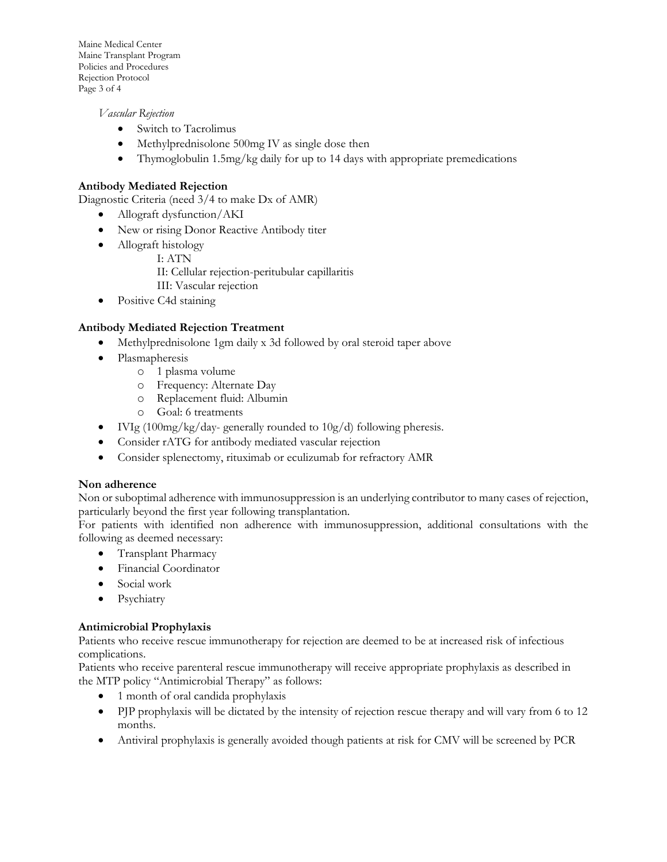Maine Medical Center Maine Transplant Program Policies and Procedures Rejection Protocol Page 3 of 4

*Vascular Rejection*

- Switch to Tacrolimus
- Methylprednisolone 500mg IV as single dose then
- Thymoglobulin 1.5mg/kg daily for up to 14 days with appropriate premedications

## **Antibody Mediated Rejection**

Diagnostic Criteria (need 3/4 to make Dx of AMR)

- Allograft dysfunction/AKI
- New or rising Donor Reactive Antibody titer
- Allograft histology
	- I: ATN
		- II: Cellular rejection-peritubular capillaritis
		- III: Vascular rejection
- Positive C4d staining

## **Antibody Mediated Rejection Treatment**

- Methylprednisolone 1gm daily x 3d followed by oral steroid taper above
- Plasmapheresis
	- o 1 plasma volume
	- o Frequency: Alternate Day
	- o Replacement fluid: Albumin
	- o Goal: 6 treatments
- IVIg  $(100mg/kg/day$  generally rounded to  $10g/d$ ) following pheresis.
- Consider rATG for antibody mediated vascular rejection
- Consider splenectomy, rituximab or eculizumab for refractory AMR

### **Non adherence**

Non or suboptimal adherence with immunosuppression is an underlying contributor to many cases of rejection, particularly beyond the first year following transplantation.

For patients with identified non adherence with immunosuppression, additional consultations with the following as deemed necessary:

- Transplant Pharmacy
- Financial Coordinator
- Social work
- Psychiatry

### **Antimicrobial Prophylaxis**

Patients who receive rescue immunotherapy for rejection are deemed to be at increased risk of infectious complications.

Patients who receive parenteral rescue immunotherapy will receive appropriate prophylaxis as described in the MTP policy "Antimicrobial Therapy" as follows:

- 1 month of oral candida prophylaxis
- PJP prophylaxis will be dictated by the intensity of rejection rescue therapy and will vary from 6 to 12 months.
- Antiviral prophylaxis is generally avoided though patients at risk for CMV will be screened by PCR